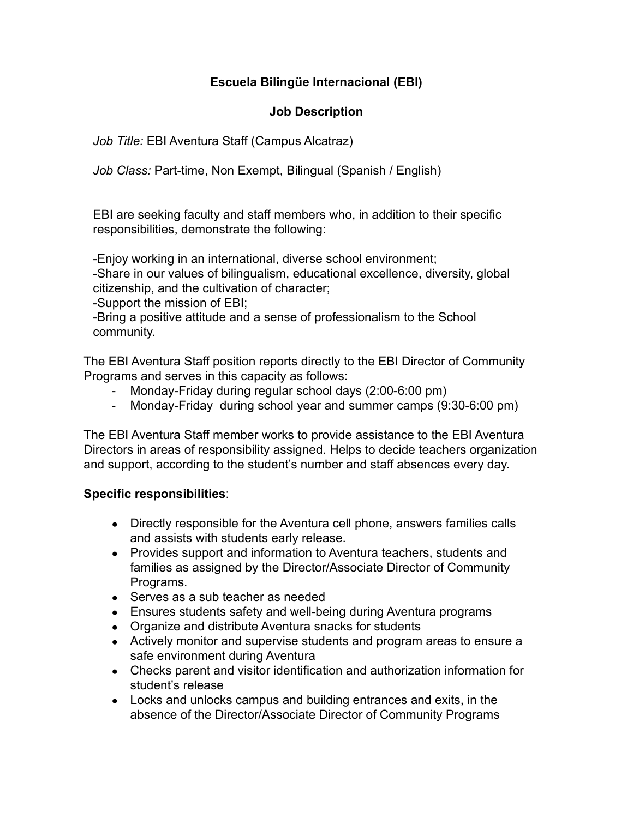## **Escuela Bilingüe Internacional (EBI)**

### **Job Description**

*Job Title:* EBI Aventura Staff (Campus Alcatraz)

*Job Class:* Part-time, Non Exempt, Bilingual (Spanish / English)

EBI are seeking faculty and staff members who, in addition to their specific responsibilities, demonstrate the following:

-Enjoy working in an international, diverse school environment;

-Share in our values of bilingualism, educational excellence, diversity, global citizenship, and the cultivation of character;

-Support the mission of EBI;

-Bring a positive attitude and a sense of professionalism to the School community.

The EBI Aventura Staff position reports directly to the EBI Director of Community Programs and serves in this capacity as follows:

- Monday-Friday during regular school days (2:00-6:00 pm)
- Monday-Friday during school year and summer camps (9:30-6:00 pm)

The EBI Aventura Staff member works to provide assistance to the EBI Aventura Directors in areas of responsibility assigned. Helps to decide teachers organization and support, according to the student's number and staff absences every day.

#### **Specific responsibilities**:

- Directly responsible for the Aventura cell phone, answers families calls and assists with students early release.
- Provides support and information to Aventura teachers, students and families as assigned by the Director/Associate Director of Community Programs.
- Serves as a sub teacher as needed
- Ensures students safety and well-being during Aventura programs
- Organize and distribute Aventura snacks for students
- Actively monitor and supervise students and program areas to ensure a safe environment during Aventura
- Checks parent and visitor identification and authorization information for student's release
- Locks and unlocks campus and building entrances and exits, in the absence of the Director/Associate Director of Community Programs